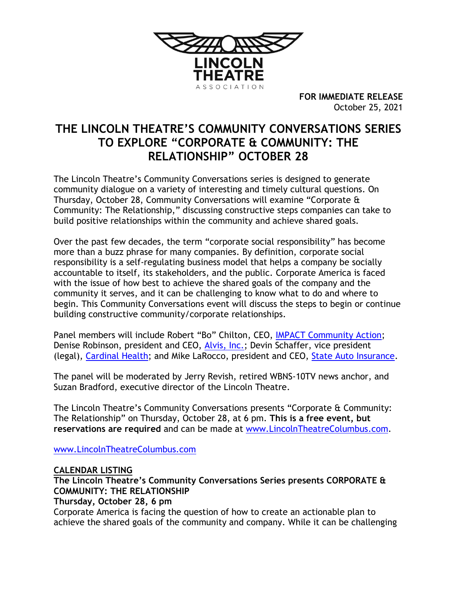

**FOR IMMEDIATE RELEASE** October 25, 2021

# **THE LINCOLN THEATRE'S COMMUNITY CONVERSATIONS SERIES TO EXPLORE "CORPORATE & COMMUNITY: THE RELATIONSHIP" OCTOBER 28**

The Lincoln Theatre's Community Conversations series is designed to generate community dialogue on a variety of interesting and timely cultural questions. On Thursday, October 28, Community Conversations will examine "Corporate & Community: The Relationship," discussing constructive steps companies can take to build positive relationships within the community and achieve shared goals.

Over the past few decades, the term "corporate social responsibility" has become more than a buzz phrase for many companies. By definition, corporate social responsibility is a self-regulating business model that helps a company be socially accountable to itself, its stakeholders, and the public. Corporate America is faced with the issue of how best to achieve the shared goals of the company and the community it serves, and it can be challenging to know what to do and where to begin. This Community Conversations event will discuss the steps to begin or continue building constructive community/corporate relationships.

Panel members will include Robert "Bo" Chilton, CEO, IMPACT [Community Action;](https://www.impactca.org/) Denise Robinson, president and CEO, [Alvis, Inc.;](https://alvis180.org/) Devin Schaffer, vice president (legal), [Cardinal Health;](https://www.cardinalhealth.com/en.html) and Mike LaRocco, president and CEO, [State Auto Insurance.](https://www.stateauto.com/)

The panel will be moderated by Jerry Revish, retired WBNS-10TV news anchor, and Suzan Bradford, executive director of the Lincoln Theatre.

The Lincoln Theatre's Community Conversations presents "Corporate & Community: The Relationship" on Thursday, October 28, at 6 pm. **This is a free event, but reservations are required** and can be made at [www.LincolnTheatreColumbus.com.](http://www.lincolntheatrecolumbus.com/)

[www.LincolnTheatreColumbus.com](http://www.lincolntheatrecolumbus.com/)

## **CALENDAR LISTING**

# **The Lincoln Theatre's Community Conversations Series presents CORPORATE & COMMUNITY: THE RELATIONSHIP**

### **Thursday, October 28, 6 pm**

Corporate America is facing the question of how to create an actionable plan to achieve the shared goals of the community and company. While it can be challenging